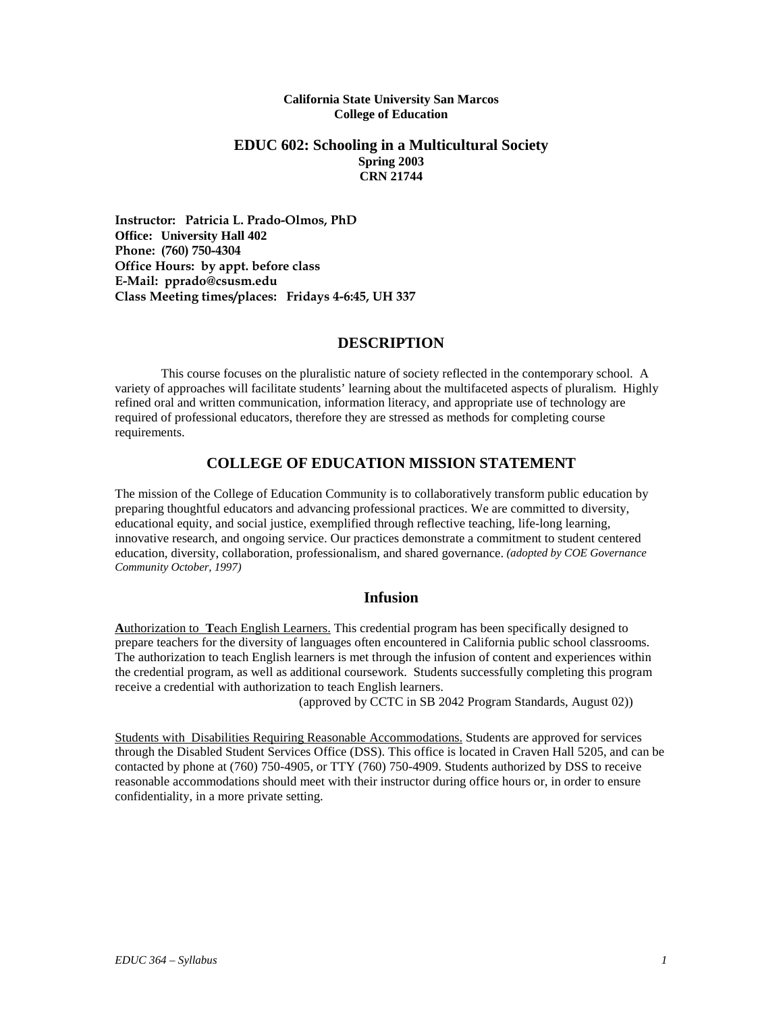#### **California State University San Marcos College of Education**

#### **EDUC 602: Schooling in a Multicultural Society Spring 2003 CRN 21744**

**Instructor: Patricia L. Prado-Olmos, PhD Office: University Hall 402 Phone: (760) 750-4304 Office Hours: by appt. before class E-Mail: pprado@csusm.edu Class Meeting times/places: Fridays 4-6:45, UH 337**

## **DESCRIPTION**

This course focuses on the pluralistic nature of society reflected in the contemporary school. A variety of approaches will facilitate students' learning about the multifaceted aspects of pluralism. Highly refined oral and written communication, information literacy, and appropriate use of technology are required of professional educators, therefore they are stressed as methods for completing course requirements.

## **COLLEGE OF EDUCATION MISSION STATEMENT**

The mission of the College of Education Community is to collaboratively transform public education by preparing thoughtful educators and advancing professional practices. We are committed to diversity, educational equity, and social justice, exemplified through reflective teaching, life-long learning, innovative research, and ongoing service. Our practices demonstrate a commitment to student centered education, diversity, collaboration, professionalism, and shared governance. *(adopted by COE Governance Community October, 1997)*

## **Infusion**

**A**uthorization to **T**each English Learners. This credential program has been specifically designed to prepare teachers for the diversity of languages often encountered in California public school classrooms. The authorization to teach English learners is met through the infusion of content and experiences within the credential program, as well as additional coursework. Students successfully completing this program receive a credential with authorization to teach English learners.

(approved by CCTC in SB 2042 Program Standards, August 02))

Students with Disabilities Requiring Reasonable Accommodations. Students are approved for services through the Disabled Student Services Office (DSS). This office is located in Craven Hall 5205, and can be contacted by phone at (760) 750-4905, or TTY (760) 750-4909. Students authorized by DSS to receive reasonable accommodations should meet with their instructor during office hours or, in order to ensure confidentiality, in a more private setting.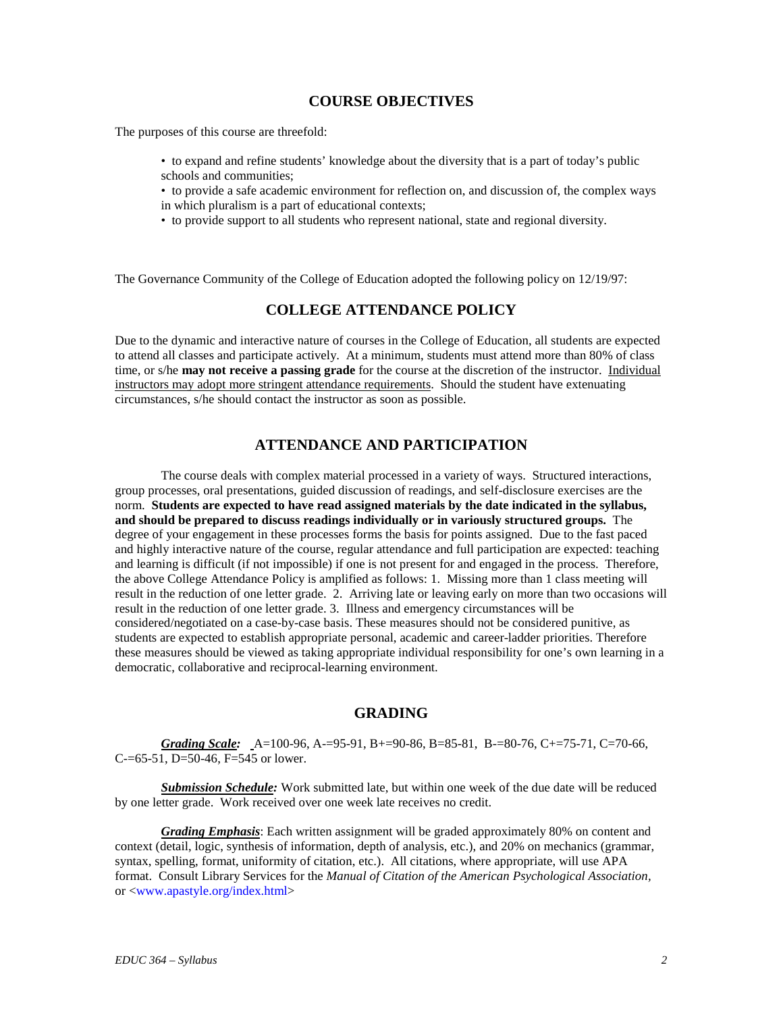#### **COURSE OBJECTIVES**

The purposes of this course are threefold:

- to expand and refine students' knowledge about the diversity that is a part of today's public schools and communities;
- to provide a safe academic environment for reflection on, and discussion of, the complex ways in which pluralism is a part of educational contexts;
- to provide support to all students who represent national, state and regional diversity.

The Governance Community of the College of Education adopted the following policy on 12/19/97:

## **COLLEGE ATTENDANCE POLICY**

Due to the dynamic and interactive nature of courses in the College of Education, all students are expected to attend all classes and participate actively. At a minimum, students must attend more than 80% of class time, or s/he **may not receive a passing grade** for the course at the discretion of the instructor. Individual instructors may adopt more stringent attendance requirements. Should the student have extenuating circumstances, s/he should contact the instructor as soon as possible.

## **ATTENDANCE AND PARTICIPATION**

The course deals with complex material processed in a variety of ways. Structured interactions, group processes, oral presentations, guided discussion of readings, and self-disclosure exercises are the norm. **Students are expected to have read assigned materials by the date indicated in the syllabus, and should be prepared to discuss readings individually or in variously structured groups.** The degree of your engagement in these processes forms the basis for points assigned. Due to the fast paced and highly interactive nature of the course, regular attendance and full participation are expected: teaching and learning is difficult (if not impossible) if one is not present for and engaged in the process. Therefore, the above College Attendance Policy is amplified as follows: 1. Missing more than 1 class meeting will result in the reduction of one letter grade. 2. Arriving late or leaving early on more than two occasions will result in the reduction of one letter grade. 3. Illness and emergency circumstances will be considered/negotiated on a case-by-case basis. These measures should not be considered punitive, as students are expected to establish appropriate personal, academic and career-ladder priorities. Therefore these measures should be viewed as taking appropriate individual responsibility for one's own learning in a democratic, collaborative and reciprocal-learning environment.

#### **GRADING**

*Grading Scale:* A=100-96, A-=95-91, B+=90-86, B=85-81, B-=80-76, C+=75-71, C=70-66, C-=65-51, D=50-46, F=545 or lower.

*Submission Schedule:* Work submitted late, but within one week of the due date will be reduced by one letter grade. Work received over one week late receives no credit.

*Grading Emphasis*: Each written assignment will be graded approximately 80% on content and context (detail, logic, synthesis of information, depth of analysis, etc.), and 20% on mechanics (grammar, syntax, spelling, format, uniformity of citation, etc.). All citations, where appropriate, will use APA format. Consult Library Services for the *Manual of Citation of the American Psychological Association,* or <www.apastyle.org/index.html>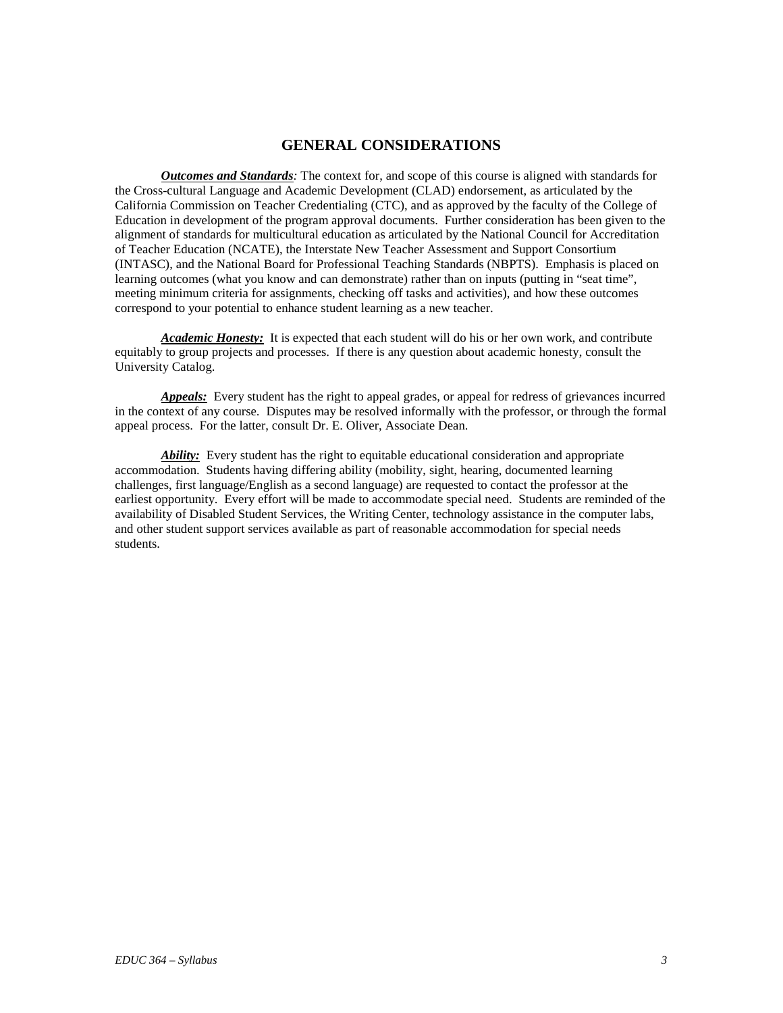## **GENERAL CONSIDERATIONS**

*Outcomes and Standards:* The context for, and scope of this course is aligned with standards for the Cross-cultural Language and Academic Development (CLAD) endorsement, as articulated by the California Commission on Teacher Credentialing (CTC), and as approved by the faculty of the College of Education in development of the program approval documents. Further consideration has been given to the alignment of standards for multicultural education as articulated by the National Council for Accreditation of Teacher Education (NCATE), the Interstate New Teacher Assessment and Support Consortium (INTASC), and the National Board for Professional Teaching Standards (NBPTS). Emphasis is placed on learning outcomes (what you know and can demonstrate) rather than on inputs (putting in "seat time", meeting minimum criteria for assignments, checking off tasks and activities), and how these outcomes correspond to your potential to enhance student learning as a new teacher.

*Academic Honesty:* It is expected that each student will do his or her own work, and contribute equitably to group projects and processes. If there is any question about academic honesty, consult the University Catalog.

*Appeals:* Every student has the right to appeal grades, or appeal for redress of grievances incurred in the context of any course. Disputes may be resolved informally with the professor, or through the formal appeal process. For the latter, consult Dr. E. Oliver, Associate Dean.

*Ability:* Every student has the right to equitable educational consideration and appropriate accommodation. Students having differing ability (mobility, sight, hearing, documented learning challenges, first language/English as a second language) are requested to contact the professor at the earliest opportunity. Every effort will be made to accommodate special need. Students are reminded of the availability of Disabled Student Services, the Writing Center, technology assistance in the computer labs, and other student support services available as part of reasonable accommodation for special needs students.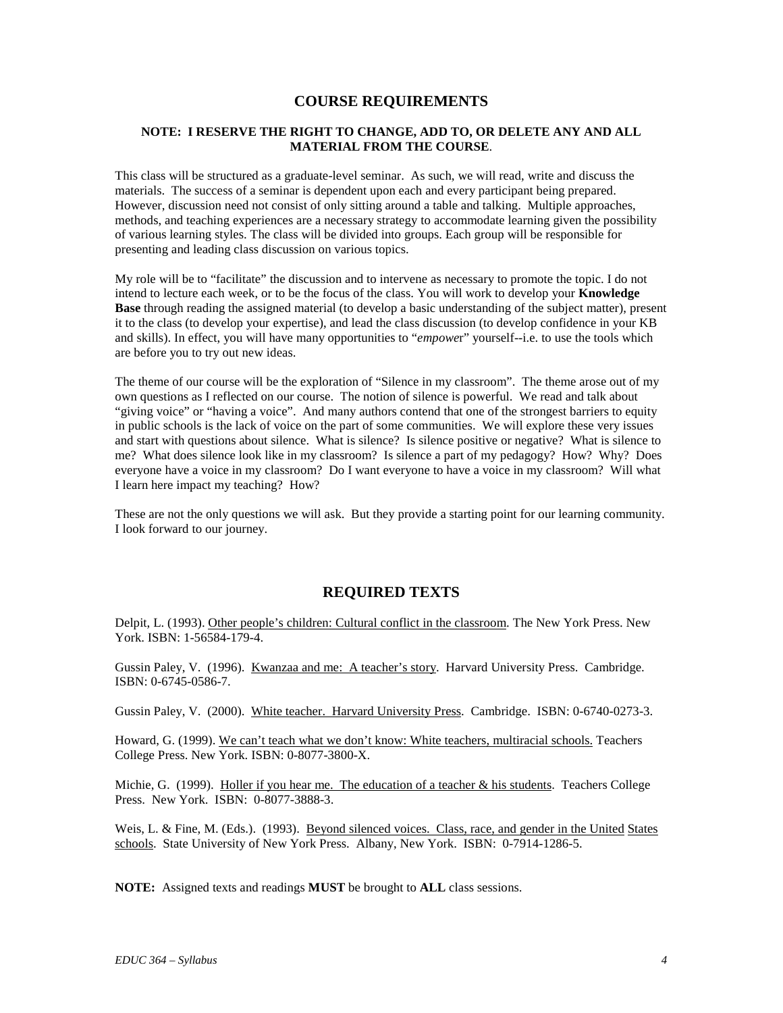#### **COURSE REQUIREMENTS**

#### **NOTE: I RESERVE THE RIGHT TO CHANGE, ADD TO, OR DELETE ANY AND ALL MATERIAL FROM THE COURSE**.

This class will be structured as a graduate-level seminar. As such, we will read, write and discuss the materials. The success of a seminar is dependent upon each and every participant being prepared. However, discussion need not consist of only sitting around a table and talking. Multiple approaches, methods, and teaching experiences are a necessary strategy to accommodate learning given the possibility of various learning styles. The class will be divided into groups. Each group will be responsible for presenting and leading class discussion on various topics.

My role will be to "facilitate" the discussion and to intervene as necessary to promote the topic. I do not intend to lecture each week, or to be the focus of the class. You will work to develop your **Knowledge Base** through reading the assigned material (to develop a basic understanding of the subject matter), present it to the class (to develop your expertise), and lead the class discussion (to develop confidence in your KB and skills). In effect, you will have many opportunities to "*empowe*r" yourself--i.e. to use the tools which are before you to try out new ideas.

The theme of our course will be the exploration of "Silence in my classroom". The theme arose out of my own questions as I reflected on our course. The notion of silence is powerful. We read and talk about "giving voice" or "having a voice". And many authors contend that one of the strongest barriers to equity in public schools is the lack of voice on the part of some communities. We will explore these very issues and start with questions about silence. What is silence? Is silence positive or negative? What is silence to me? What does silence look like in my classroom? Is silence a part of my pedagogy? How? Why? Does everyone have a voice in my classroom? Do I want everyone to have a voice in my classroom? Will what I learn here impact my teaching? How?

These are not the only questions we will ask. But they provide a starting point for our learning community. I look forward to our journey.

#### **REQUIRED TEXTS**

Delpit, L. (1993). Other people's children: Cultural conflict in the classroom. The New York Press. New York. ISBN: 1-56584-179-4.

Gussin Paley, V. (1996). Kwanzaa and me: A teacher's story. Harvard University Press. Cambridge. ISBN: 0-6745-0586-7.

Gussin Paley, V. (2000). White teacher. Harvard University Press. Cambridge. ISBN: 0-6740-0273-3.

Howard, G. (1999). We can't teach what we don't know: White teachers, multiracial schools. Teachers College Press. New York. ISBN: 0-8077-3800-X.

Michie, G. (1999). Holler if you hear me. The education of a teacher  $\&$  his students. Teachers College Press. New York. ISBN: 0-8077-3888-3.

Weis, L. & Fine, M. (Eds.). (1993). Beyond silenced voices. Class, race, and gender in the United States schools. State University of New York Press. Albany, New York. ISBN: 0-7914-1286-5.

**NOTE:** Assigned texts and readings **MUST** be brought to **ALL** class sessions.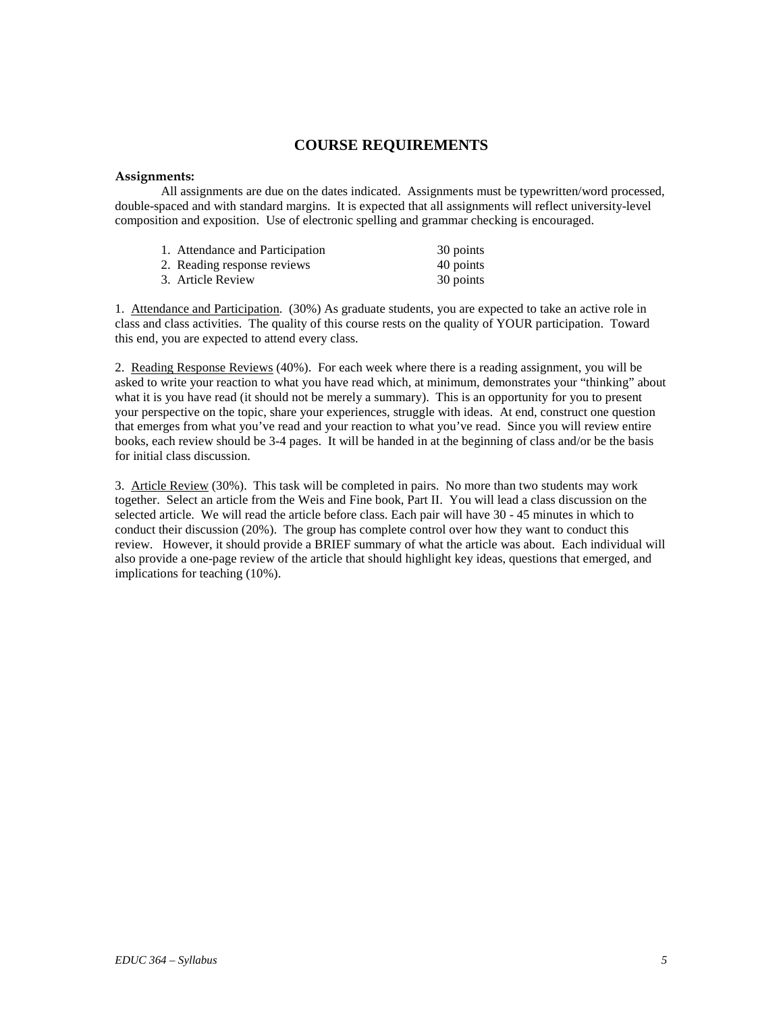## **COURSE REQUIREMENTS**

#### **Assignments:**

All assignments are due on the dates indicated. Assignments must be typewritten/word processed, double-spaced and with standard margins. It is expected that all assignments will reflect university-level composition and exposition. Use of electronic spelling and grammar checking is encouraged.

| 1. Attendance and Participation | 30 points |
|---------------------------------|-----------|
| 2. Reading response reviews     | 40 points |
| 3. Article Review               | 30 points |

1. Attendance and Participation. (30%) As graduate students, you are expected to take an active role in class and class activities. The quality of this course rests on the quality of YOUR participation. Toward this end, you are expected to attend every class.

2. Reading Response Reviews (40%). For each week where there is a reading assignment, you will be asked to write your reaction to what you have read which, at minimum, demonstrates your "thinking" about what it is you have read (it should not be merely a summary). This is an opportunity for you to present your perspective on the topic, share your experiences, struggle with ideas. At end, construct one question that emerges from what you've read and your reaction to what you've read. Since you will review entire books, each review should be 3-4 pages. It will be handed in at the beginning of class and/or be the basis for initial class discussion.

3. Article Review (30%). This task will be completed in pairs. No more than two students may work together. Select an article from the Weis and Fine book, Part II. You will lead a class discussion on the selected article. We will read the article before class. Each pair will have 30 - 45 minutes in which to conduct their discussion (20%). The group has complete control over how they want to conduct this review. However, it should provide a BRIEF summary of what the article was about. Each individual will also provide a one-page review of the article that should highlight key ideas, questions that emerged, and implications for teaching (10%).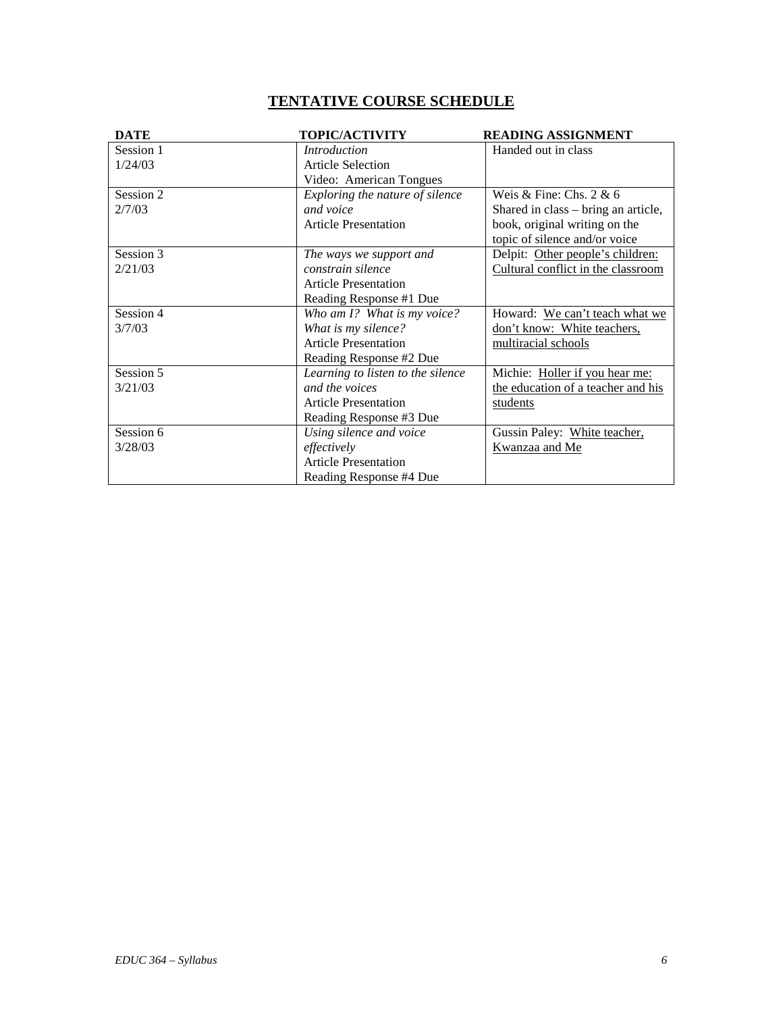# **TENTATIVE COURSE SCHEDULE**

| <b>DATE</b> | <b>TOPIC/ACTIVITY</b>             | <b>READING ASSIGNMENT</b>           |
|-------------|-----------------------------------|-------------------------------------|
| Session 1   | <i>Introduction</i>               | Handed out in class                 |
| 1/24/03     | <b>Article Selection</b>          |                                     |
|             | Video: American Tongues           |                                     |
| Session 2   | Exploring the nature of silence   | Weis & Fine: Chs. $2 \& 6$          |
| 2/7/03      | and voice                         | Shared in class – bring an article, |
|             | <b>Article Presentation</b>       | book, original writing on the       |
|             |                                   | topic of silence and/or voice       |
| Session 3   | The ways we support and           | Delpit: Other people's children:    |
| 2/21/03     | constrain silence                 | Cultural conflict in the classroom  |
|             | <b>Article Presentation</b>       |                                     |
|             | Reading Response #1 Due           |                                     |
| Session 4   | Who am I? What is my voice?       | Howard: We can't teach what we      |
| 3/7/03      | What is my silence?               | don't know: White teachers,         |
|             | <b>Article Presentation</b>       | multiracial schools                 |
|             | Reading Response #2 Due           |                                     |
| Session 5   | Learning to listen to the silence | Michie: Holler if you hear me:      |
| 3/21/03     | and the voices                    | the education of a teacher and his  |
|             | <b>Article Presentation</b>       | students                            |
|             | Reading Response #3 Due           |                                     |
| Session 6   | Using silence and voice           | Gussin Paley: White teacher,        |
| 3/28/03     | effectively                       | Kwanzaa and Me                      |
|             | <b>Article Presentation</b>       |                                     |
|             | Reading Response #4 Due           |                                     |